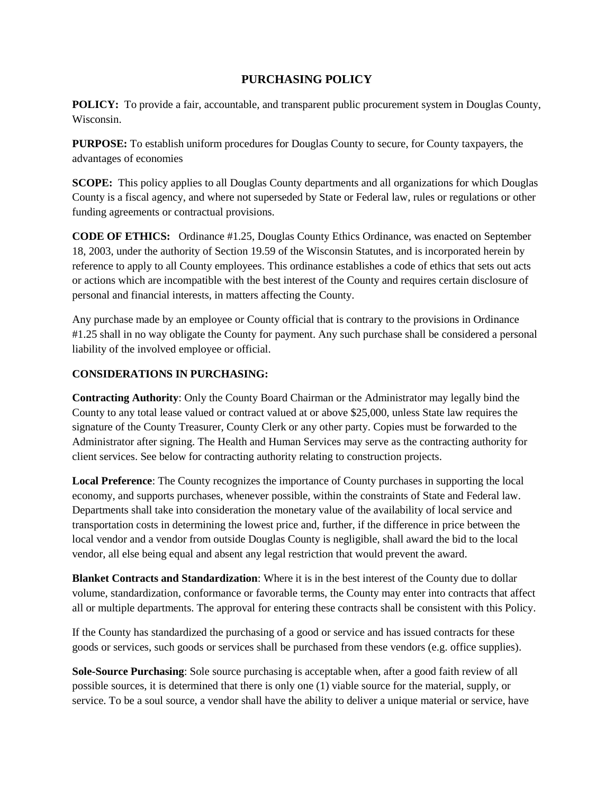# **PURCHASING POLICY**

**POLICY:** To provide a fair, accountable, and transparent public procurement system in Douglas County, Wisconsin.

**PURPOSE:** To establish uniform procedures for Douglas County to secure, for County taxpayers, the advantages of economies

**SCOPE:** This policy applies to all Douglas County departments and all organizations for which Douglas County is a fiscal agency, and where not superseded by State or Federal law, rules or regulations or other funding agreements or contractual provisions.

**CODE OF ETHICS:** Ordinance #1.25, Douglas County Ethics Ordinance, was enacted on September 18, 2003, under the authority of Section 19.59 of the Wisconsin Statutes, and is incorporated herein by reference to apply to all County employees. This ordinance establishes a code of ethics that sets out acts or actions which are incompatible with the best interest of the County and requires certain disclosure of personal and financial interests, in matters affecting the County.

Any purchase made by an employee or County official that is contrary to the provisions in Ordinance #1.25 shall in no way obligate the County for payment. Any such purchase shall be considered a personal liability of the involved employee or official.

### **CONSIDERATIONS IN PURCHASING:**

**Contracting Authority**: Only the County Board Chairman or the Administrator may legally bind the County to any total lease valued or contract valued at or above \$25,000, unless State law requires the signature of the County Treasurer, County Clerk or any other party. Copies must be forwarded to the Administrator after signing. The Health and Human Services may serve as the contracting authority for client services. See below for contracting authority relating to construction projects.

**Local Preference**: The County recognizes the importance of County purchases in supporting the local economy, and supports purchases, whenever possible, within the constraints of State and Federal law. Departments shall take into consideration the monetary value of the availability of local service and transportation costs in determining the lowest price and, further, if the difference in price between the local vendor and a vendor from outside Douglas County is negligible, shall award the bid to the local vendor, all else being equal and absent any legal restriction that would prevent the award.

**Blanket Contracts and Standardization**: Where it is in the best interest of the County due to dollar volume, standardization, conformance or favorable terms, the County may enter into contracts that affect all or multiple departments. The approval for entering these contracts shall be consistent with this Policy.

If the County has standardized the purchasing of a good or service and has issued contracts for these goods or services, such goods or services shall be purchased from these vendors (e.g. office supplies).

**Sole-Source Purchasing**: Sole source purchasing is acceptable when, after a good faith review of all possible sources, it is determined that there is only one (1) viable source for the material, supply, or service. To be a soul source, a vendor shall have the ability to deliver a unique material or service, have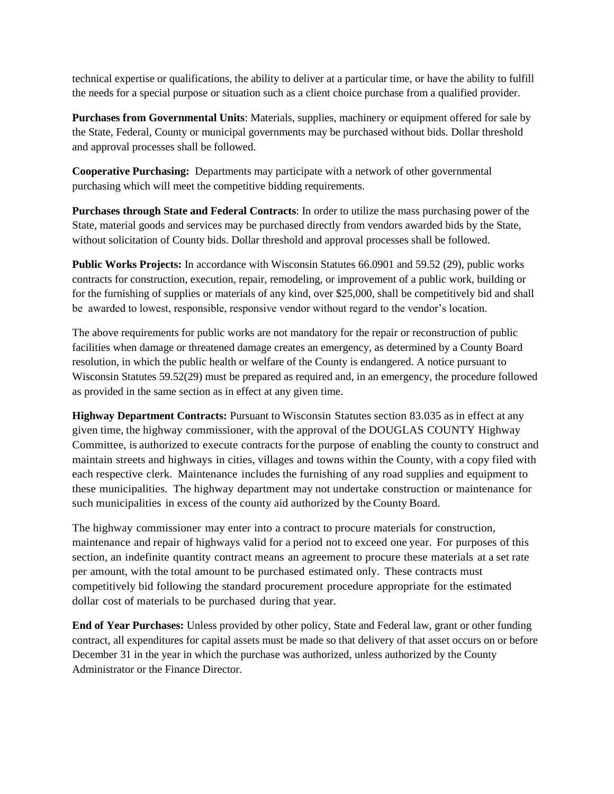technical expertise or qualifications, the ability to deliver at a particular time, or have the ability to fulfill the needs for a special purpose or situation such as a client choice purchase from a qualified provider.

**Purchases from Governmental Units**: Materials, supplies, machinery or equipment offered for sale by the State, Federal, County or municipal governments may be purchased without bids. Dollar threshold and approval processes shall be followed.

**Cooperative Purchasing:** Departments may participate with a network of other governmental purchasing which will meet the competitive bidding requirements.

**Purchases through State and Federal Contracts**: In order to utilize the mass purchasing power of the State, material goods and services may be purchased directly from vendors awarded bids by the State, without solicitation of County bids. Dollar threshold and approval processes shall be followed.

**Public Works Projects:** In accordance with Wisconsin Statutes 66.0901 and 59.52 (29), public works contracts for construction, execution, repair, remodeling, or improvement of a public work, building or for the furnishing of supplies or materials of any kind, over \$25,000, shall be competitively bid and shall be awarded to lowest, responsible, responsive vendor without regard to the vendor's location.

The above requirements for public works are not mandatory for the repair or reconstruction of public facilities when damage or threatened damage creates an emergency, as determined by a County Board resolution, in which the public health or welfare of the County is endangered. A notice pursuant to Wisconsin Statutes 59.52(29) must be prepared as required and, in an emergency, the procedure followed as provided in the same section as in effect at any given time.

**Highway Department Contracts:** Pursuant to Wisconsin Statutes section 83.035 as in effect at any given time, the highway commissioner, with the approval of the DOUGLAS COUNTY Highway Committee, is authorized to execute contracts for the purpose of enabling the county to construct and maintain streets and highways in cities, villages and towns within the County, with a copy filed with each respective clerk. Maintenance includes the furnishing of any road supplies and equipment to these municipalities. The highway department may not undertake construction or maintenance for such municipalities in excess of the county aid authorized by the County Board.

The highway commissioner may enter into a contract to procure materials for construction, maintenance and repair of highways valid for a period not to exceed one year. For purposes of this section, an indefinite quantity contract means an agreement to procure these materials at a set rate per amount, with the total amount to be purchased estimated only. These contracts must competitively bid following the standard procurement procedure appropriate for the estimated dollar cost of materials to be purchased during that year.

**End of Year Purchases:** Unless provided by other policy, State and Federal law, grant or other funding contract, all expenditures for capital assets must be made so that delivery of that asset occurs on or before December 31 in the year in which the purchase was authorized, unless authorized by the County Administrator or the Finance Director.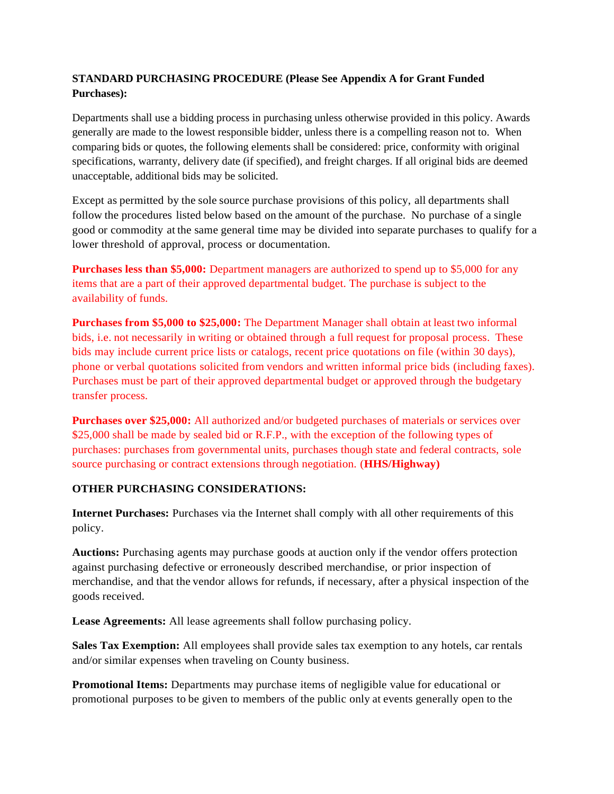# **STANDARD PURCHASING PROCEDURE (Please See Appendix A for Grant Funded Purchases):**

Departments shall use a bidding process in purchasing unless otherwise provided in this policy. Awards generally are made to the lowest responsible bidder, unless there is a compelling reason not to. When comparing bids or quotes, the following elements shall be considered: price, conformity with original specifications, warranty, delivery date (if specified), and freight charges. If all original bids are deemed unacceptable, additional bids may be solicited.

Except as permitted by the sole source purchase provisions of this policy, all departments shall follow the procedures listed below based on the amount of the purchase. No purchase of a single good or commodity at the same general time may be divided into separate purchases to qualify for a lower threshold of approval, process or documentation.

**Purchases less than \$5,000:** Department managers are authorized to spend up to \$5,000 for any items that are a part of their approved departmental budget. The purchase is subject to the availability of funds.

**Purchases from \$5,000 to \$25,000:** The Department Manager shall obtain at least two informal bids, i.e. not necessarily in writing or obtained through a full request for proposal process. These bids may include current price lists or catalogs, recent price quotations on file (within 30 days), phone or verbal quotations solicited from vendors and written informal price bids (including faxes). Purchases must be part of their approved departmental budget or approved through the budgetary transfer process.

**Purchases over \$25,000:** All authorized and/or budgeted purchases of materials or services over \$25,000 shall be made by sealed bid or R.F.P., with the exception of the following types of purchases: purchases from governmental units, purchases though state and federal contracts, sole source purchasing or contract extensions through negotiation. (**HHS/Highway)**

### **OTHER PURCHASING CONSIDERATIONS:**

**Internet Purchases:** Purchases via the Internet shall comply with all other requirements of this policy.

**Auctions:** Purchasing agents may purchase goods at auction only if the vendor offers protection against purchasing defective or erroneously described merchandise, or prior inspection of merchandise, and that the vendor allows for refunds, if necessary, after a physical inspection of the goods received.

**Lease Agreements:** All lease agreements shall follow purchasing policy.

**Sales Tax Exemption:** All employees shall provide sales tax exemption to any hotels, car rentals and/or similar expenses when traveling on County business.

**Promotional Items:** Departments may purchase items of negligible value for educational or promotional purposes to be given to members of the public only at events generally open to the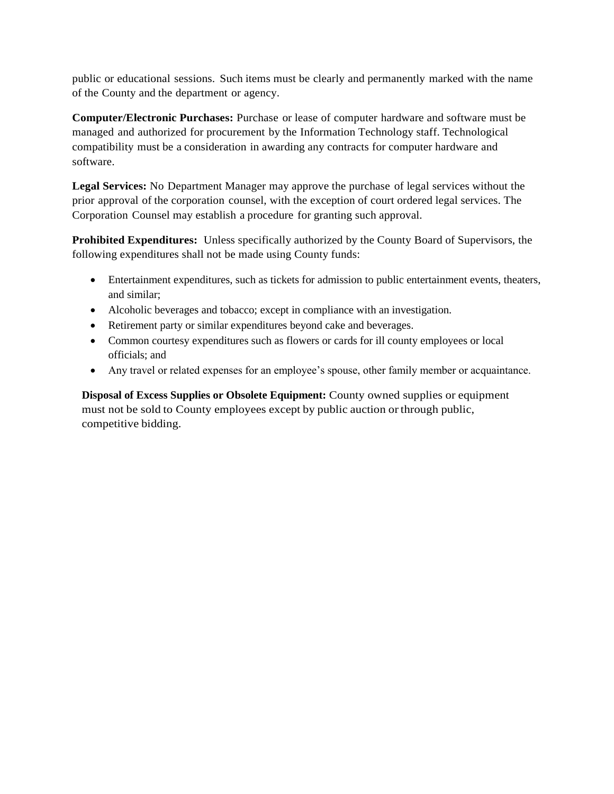public or educational sessions. Such items must be clearly and permanently marked with the name of the County and the department or agency.

**Computer/Electronic Purchases:** Purchase or lease of computer hardware and software must be managed and authorized for procurement by the Information Technology staff. Technological compatibility must be a consideration in awarding any contracts for computer hardware and software.

**Legal Services:** No Department Manager may approve the purchase of legal services without the prior approval of the corporation counsel, with the exception of court ordered legal services. The Corporation Counsel may establish a procedure for granting such approval.

**Prohibited Expenditures:** Unless specifically authorized by the County Board of Supervisors, the following expenditures shall not be made using County funds:

- Entertainment expenditures, such as tickets for admission to public entertainment events, theaters, and similar;
- Alcoholic beverages and tobacco; except in compliance with an investigation.
- Retirement party or similar expenditures beyond cake and beverages.
- Common courtesy expenditures such as flowers or cards for ill county employees or local officials; and
- Any travel or related expenses for an employee's spouse, other family member or acquaintance.

**Disposal of Excess Supplies or Obsolete Equipment:** County owned supplies or equipment must not be sold to County employees except by public auction or through public, competitive bidding.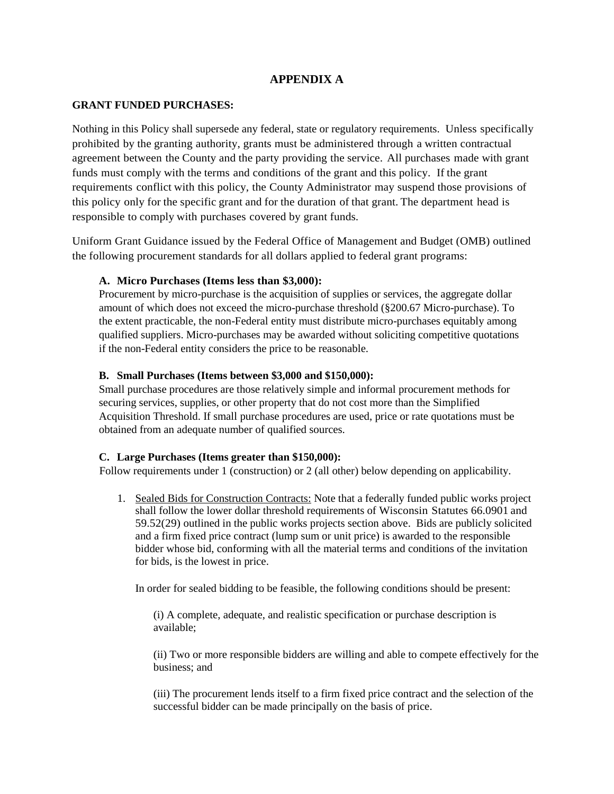## **APPENDIX A**

#### **GRANT FUNDED PURCHASES:**

Nothing in this Policy shall supersede any federal, state or regulatory requirements. Unless specifically prohibited by the granting authority, grants must be administered through a written contractual agreement between the County and the party providing the service. All purchases made with grant funds must comply with the terms and conditions of the grant and this policy. If the grant requirements conflict with this policy, the County Administrator may suspend those provisions of this policy only for the specific grant and for the duration of that grant. The department head is responsible to comply with purchases covered by grant funds.

Uniform Grant Guidance issued by the Federal Office of Management and Budget (OMB) outlined the following procurement standards for all dollars applied to federal grant programs:

### **A. Micro Purchases (Items less than \$3,000):**

Procurement by micro-purchase is the acquisition of supplies or services, the aggregate dollar amount of which does not exceed the micro-purchase threshold (§200.67 Micro-purchase). To the extent practicable, the non-Federal entity must distribute micro-purchases equitably among qualified suppliers. Micro-purchases may be awarded without soliciting competitive quotations if the non-Federal entity considers the price to be reasonable.

#### **B. Small Purchases (Items between \$3,000 and \$150,000):**

Small purchase procedures are those relatively simple and informal procurement methods for securing services, supplies, or other property that do not cost more than the Simplified Acquisition Threshold. If small purchase procedures are used, price or rate quotations must be obtained from an adequate number of qualified sources.

#### **C. Large Purchases (Items greater than \$150,000):**

Follow requirements under 1 (construction) or 2 (all other) below depending on applicability.

1. Sealed Bids for Construction Contracts: Note that a federally funded public works project shall follow the lower dollar threshold requirements of Wisconsin Statutes 66.0901 and 59.52(29) outlined in the public works projects section above. Bids are publicly solicited and a firm fixed price contract (lump sum or unit price) is awarded to the responsible bidder whose bid, conforming with all the material terms and conditions of the invitation for bids, is the lowest in price.

In order for sealed bidding to be feasible, the following conditions should be present:

(i) A complete, adequate, and realistic specification or purchase description is available;

(ii) Two or more responsible bidders are willing and able to compete effectively for the business; and

(iii) The procurement lends itself to a firm fixed price contract and the selection of the successful bidder can be made principally on the basis of price.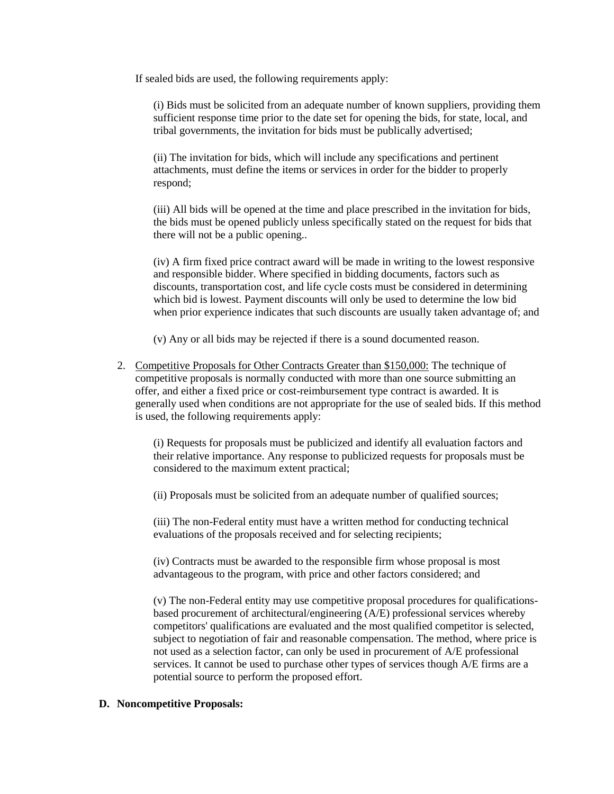If sealed bids are used, the following requirements apply:

(i) Bids must be solicited from an adequate number of known suppliers, providing them sufficient response time prior to the date set for opening the bids, for state, local, and tribal governments, the invitation for bids must be publically advertised;

(ii) The invitation for bids, which will include any specifications and pertinent attachments, must define the items or services in order for the bidder to properly respond;

(iii) All bids will be opened at the time and place prescribed in the invitation for bids, the bids must be opened publicly unless specifically stated on the request for bids that there will not be a public opening..

(iv) A firm fixed price contract award will be made in writing to the lowest responsive and responsible bidder. Where specified in bidding documents, factors such as discounts, transportation cost, and life cycle costs must be considered in determining which bid is lowest. Payment discounts will only be used to determine the low bid when prior experience indicates that such discounts are usually taken advantage of; and

(v) Any or all bids may be rejected if there is a sound documented reason.

2. Competitive Proposals for Other Contracts Greater than \$150,000: The technique of competitive proposals is normally conducted with more than one source submitting an offer, and either a fixed price or cost-reimbursement type contract is awarded. It is generally used when conditions are not appropriate for the use of sealed bids. If this method is used, the following requirements apply:

(i) Requests for proposals must be publicized and identify all evaluation factors and their relative importance. Any response to publicized requests for proposals must be considered to the maximum extent practical;

(ii) Proposals must be solicited from an adequate number of qualified sources;

(iii) The non-Federal entity must have a written method for conducting technical evaluations of the proposals received and for selecting recipients;

(iv) Contracts must be awarded to the responsible firm whose proposal is most advantageous to the program, with price and other factors considered; and

(v) The non-Federal entity may use competitive proposal procedures for qualificationsbased procurement of architectural/engineering (A/E) professional services whereby competitors' qualifications are evaluated and the most qualified competitor is selected, subject to negotiation of fair and reasonable compensation. The method, where price is not used as a selection factor, can only be used in procurement of A/E professional services. It cannot be used to purchase other types of services though A/E firms are a potential source to perform the proposed effort.

#### **D. Noncompetitive Proposals:**